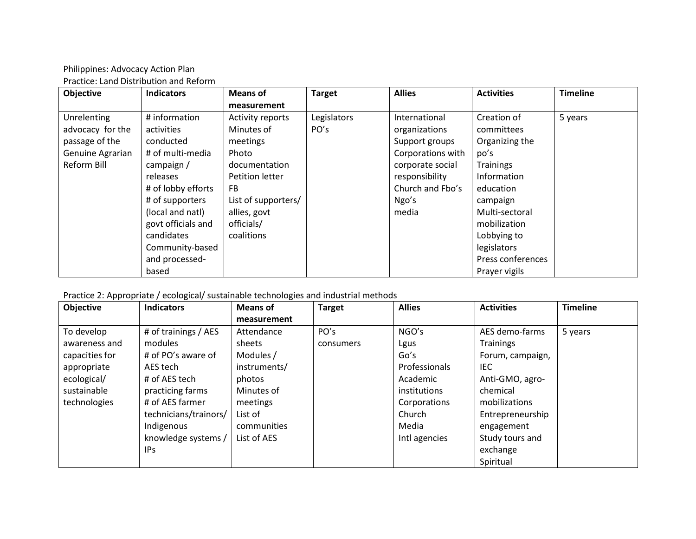Philippines: Advocacy Action Plan Practice: Land Distribution and Reform

| <b>Objective</b>   | <b>Indicators</b>  | <b>Means of</b>         | <b>Target</b> | <b>Allies</b>     | <b>Activities</b> | <b>Timeline</b> |
|--------------------|--------------------|-------------------------|---------------|-------------------|-------------------|-----------------|
|                    |                    | measurement             |               |                   |                   |                 |
| <b>Unrelenting</b> | # information      | <b>Activity reports</b> | Legislators   | International     | Creation of       | 5 years         |
| advocacy for the   | activities         | Minutes of              | PO's          | organizations     | committees        |                 |
| passage of the     | conducted          | meetings                |               | Support groups    | Organizing the    |                 |
| Genuine Agrarian   | # of multi-media   | Photo                   |               | Corporations with | po's              |                 |
| Reform Bill        | campaign /         | documentation           |               | corporate social  | <b>Trainings</b>  |                 |
|                    | releases           | Petition letter         |               | responsibility    | Information       |                 |
|                    | # of lobby efforts | <b>FB</b>               |               | Church and Fbo's  | education         |                 |
|                    | # of supporters    | List of supporters/     |               | Ngo's             | campaign          |                 |
|                    | (local and natl)   | allies, govt            |               | media             | Multi-sectoral    |                 |
|                    | govt officials and | officials/              |               |                   | mobilization      |                 |
|                    | candidates         | coalitions              |               |                   | Lobbying to       |                 |
|                    | Community-based    |                         |               |                   | legislators       |                 |
|                    | and processed-     |                         |               |                   | Press conferences |                 |
|                    | based              |                         |               |                   | Prayer vigils     |                 |

Practice 2: Appropriate / ecological/ sustainable technologies and industrial methods

| <b>Objective</b> | <b>Indicators</b>     | <b>Means of</b> | <b>Target</b> | <b>Allies</b> | <b>Activities</b> | <b>Timeline</b> |
|------------------|-----------------------|-----------------|---------------|---------------|-------------------|-----------------|
|                  |                       | measurement     |               |               |                   |                 |
| To develop       | # of trainings / AES  | Attendance      | PO's          | NGO's         | AES demo-farms    | 5 years         |
| awareness and    | modules               | sheets          | consumers     | Lgus          | <b>Trainings</b>  |                 |
| capacities for   | # of PO's aware of    | Modules /       |               | Go's          | Forum, campaign,  |                 |
| appropriate      | AES tech              | instruments/    |               | Professionals | IEC.              |                 |
| ecological/      | # of AES tech         | photos          |               | Academic      | Anti-GMO, agro-   |                 |
| sustainable      | practicing farms      | Minutes of      |               | institutions  | chemical          |                 |
| technologies     | # of AES farmer       | meetings        |               | Corporations  | mobilizations     |                 |
|                  | technicians/trainors/ | List of         |               | Church        | Entrepreneurship  |                 |
|                  | Indigenous            | communities     |               | Media         | engagement        |                 |
|                  | knowledge systems /   | List of AES     |               | Intl agencies | Study tours and   |                 |
|                  | IP <sub>S</sub>       |                 |               |               | exchange          |                 |
|                  |                       |                 |               |               | Spiritual         |                 |